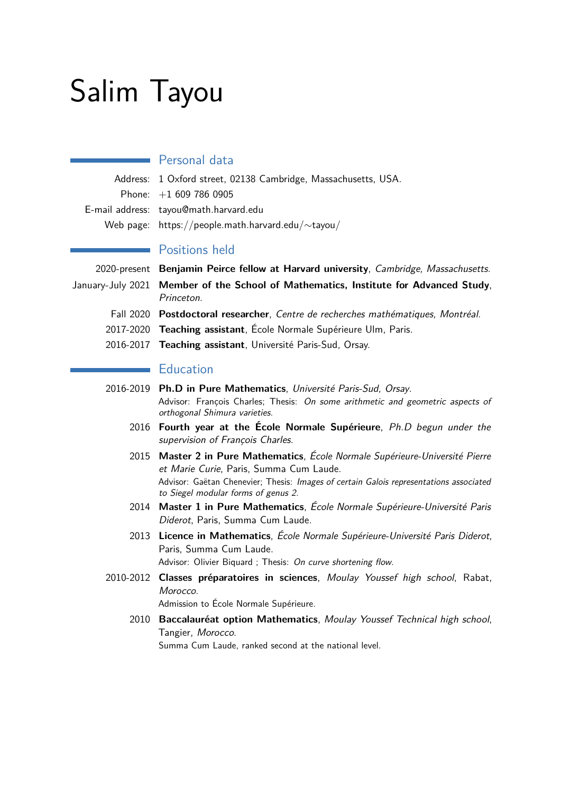# Salim Tayou

## **Personal data**

| Address: 1 Oxford street, 02138 Cambridge, Massachusetts, USA. |
|----------------------------------------------------------------|
| Phone: $+16097860905$                                          |
| E-mail address: tayou@math.harvard.edu                         |
| Web page: https://people.math.harvard.edu/ $\sim$ tayou/       |

#### Positions held

2020-present **Benjamin Peirce fellow at Harvard university**, Cambridge, Massachusetts. January-July 2021 **Member of the School of Mathematics, Institute for Advanced Study**, Princeton.

- Fall 2020 **Postdoctoral researcher**, Centre de recherches mathématiques, Montréal.
- 2017-2020 **Teaching assistant**, École Normale Supérieure Ulm, Paris.
- 2016-2017 **Teaching assistant**, Université Paris-Sud, Orsay.

# **Education**

- 2016-2019 **Ph.D in Pure Mathematics**, Université Paris-Sud, Orsay. Advisor: François Charles; Thesis: On some arithmetic and geometric aspects of orthogonal Shimura varieties.
	- 2016 **Fourth year at the École Normale Supérieure**, Ph.D begun under the supervision of François Charles.
	- 2015 **Master 2 in Pure Mathematics**, École Normale Supérieure-Université Pierre et Marie Curie, Paris, Summa Cum Laude. Advisor: Gaëtan Chenevier; Thesis: Images of certain Galois representations associated to Siegel modular forms of genus 2.
	- 2014 **Master 1 in Pure Mathematics**, École Normale Supérieure-Université Paris Diderot, Paris, Summa Cum Laude.
	- 2013 **Licence in Mathematics**, École Normale Supérieure-Université Paris Diderot, Paris, Summa Cum Laude. Advisor: Olivier Biguard ; Thesis: On curve shortening flow.
- 2010-2012 **Classes préparatoires in sciences**, Moulay Youssef high school, Rabat, Morocco.

Admission to École Normale Supérieure.

2010 **Baccalauréat option Mathematics**, Moulay Youssef Technical high school, Tangier, Morocco.

Summa Cum Laude, ranked second at the national level.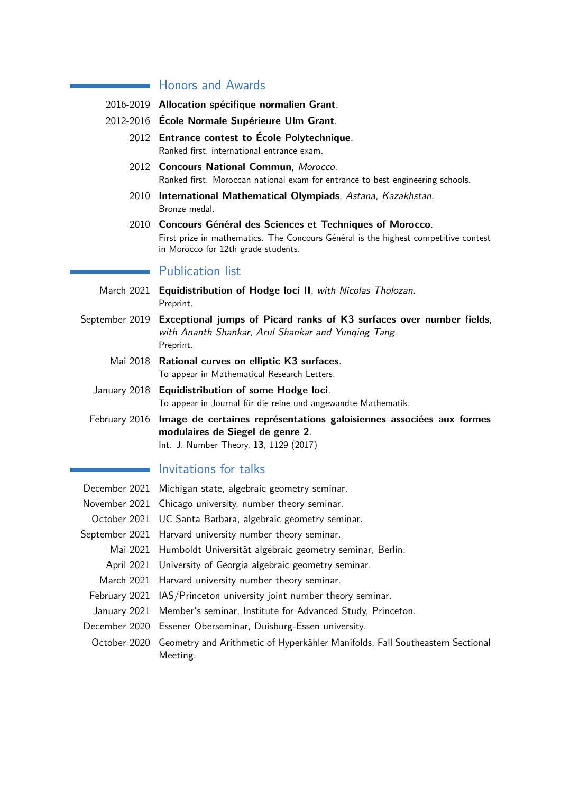## **Honors and Awards**

- 2016-2019 **Allocation spécifique normalien Grant**.
- 2012-2016 **École Normale Supérieure Ulm Grant**.
	- 2012 **Entrance contest to École Polytechnique**. Ranked first, international entrance exam.
	- 2012 **Concours National Commun**, Morocco. Ranked first. Moroccan national exam for entrance to best engineering schools.
	- 2010 **International Mathematical Olympiads**, Astana, Kazakhstan. Bronze medal.
	- 2010 **Concours Général des Sciences et Techniques of Morocco**. First prize in mathematics. The Concours Général is the highest competitive contest in Morocco for 12th grade students.

#### Publication list

- March 2021 **Equidistribution of Hodge loci II**, with Nicolas Tholozan. Preprint.
- September 2019 **Exceptional jumps of Picard ranks of K3 surfaces over number fields**, with Ananth Shankar, Arul Shankar and Yunqing Tang. Preprint.
	- Mai 2018 **Rational curves on elliptic K3 surfaces**. To appear in Mathematical Research Letters.
	- January 2018 **Equidistribution of some Hodge loci**. To appear in Journal für die reine und angewandte Mathematik.
	- February 2016 **Image de certaines représentations galoisiennes associées aux formes modulaires de Siegel de genre 2**. Int. J. Number Theory, **13**, 1129 (2017)

## Invitations for talks

| December 2021 Michigan state, algebraic geometry seminar.                                              |
|--------------------------------------------------------------------------------------------------------|
| November 2021 Chicago university, number theory seminar.                                               |
| October 2021 UC Santa Barbara, algebraic geometry seminar.                                             |
| September 2021 Harvard university number theory seminar.                                               |
| Mai 2021 Humboldt Universität algebraic geometry seminar, Berlin.                                      |
| April 2021 University of Georgia algebraic geometry seminar.                                           |
| March 2021 Harvard university number theory seminar.                                                   |
| February 2021 IAS/Princeton university joint number theory seminar.                                    |
| January 2021 Member's seminar, Institute for Advanced Study, Princeton.                                |
| December 2020 Essener Oberseminar, Duisburg-Essen university.                                          |
| October 2020 Geometry and Arithmetic of Hyperkähler Manifolds, Fall Southeastern Sectional<br>Meeting. |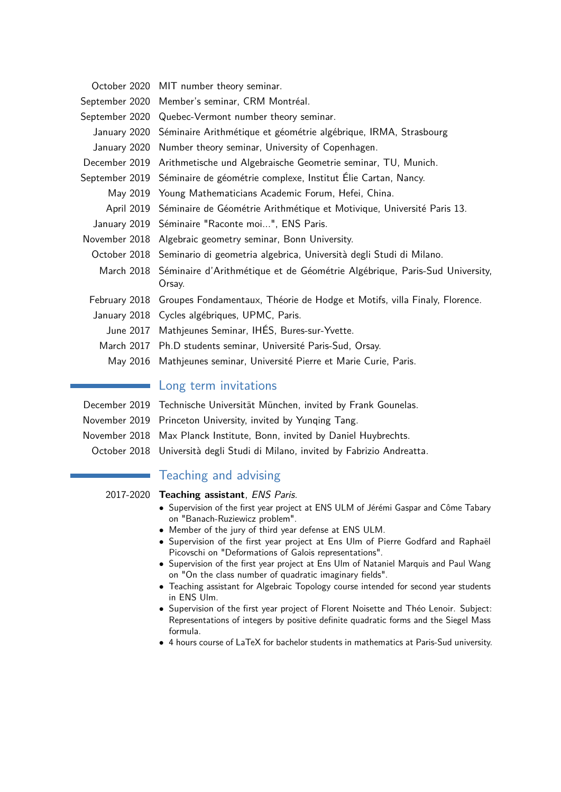| October 2020 MIT number theory seminar.                                                         |
|-------------------------------------------------------------------------------------------------|
| September 2020 Member's seminar, CRM Montréal.                                                  |
| September 2020 Quebec-Vermont number theory seminar.                                            |
| January 2020 Séminaire Arithmétique et géométrie algébrique, IRMA, Strasbourg                   |
| January 2020 Number theory seminar, University of Copenhagen.                                   |
| December 2019 Arithmetische und Algebraische Geometrie seminar, TU, Munich.                     |
| September 2019 Séminaire de géométrie complexe, Institut Élie Cartan, Nancy.                    |
| May 2019 Young Mathematicians Academic Forum, Hefei, China.                                     |
| April 2019 Séminaire de Géométrie Arithmétique et Motivique, Université Paris 13.               |
| January 2019 Séminaire "Raconte moi", ENS Paris.                                                |
| November 2018 Algebraic geometry seminar, Bonn University.                                      |
| October 2018 Seminario di geometria algebrica, Università degli Studi di Milano.                |
| March 2018 Séminaire d'Arithmétique et de Géométrie Algébrique, Paris-Sud University,<br>Orsay. |
| February 2018 Groupes Fondamentaux, Théorie de Hodge et Motifs, villa Finaly, Florence.         |
| January 2018 Cycles algébriques, UPMC, Paris.                                                   |
| June 2017 Mathjeunes Seminar, IHÉS, Bures-sur-Yvette.                                           |
| March 2017 Ph.D students seminar, Université Paris-Sud, Orsay.                                  |
| May 2016 Mathjeunes seminar, Université Pierre et Marie Curie, Paris.                           |
|                                                                                                 |

## Long term invitations

December 2019 Technische Universität München, invited by Frank Gounelas.

November 2019 Princeton University, invited by Yunqing Tang.

November 2018 Max Planck Institute, Bonn, invited by Daniel Huybrechts.

October 2018 Università degli Studi di Milano, invited by Fabrizio Andreatta.

# Teaching and advising

#### 2017-2020 **Teaching assistant**, ENS Paris.

- Supervision of the first year project at ENS ULM of Jérémi Gaspar and Côme Tabary on "Banach-Ruziewicz problem".
- Member of the jury of third year defense at ENS ULM.
- Supervision of the first year project at Ens Ulm of Pierre Godfard and Raphaël Picovschi on "Deformations of Galois representations".
- Supervision of the first year project at Ens Ulm of Nataniel Marquis and Paul Wang on "On the class number of quadratic imaginary fields".
- Teaching assistant for Algebraic Topology course intended for second year students in ENS Ulm.
- Supervision of the first year project of Florent Noisette and Théo Lenoir. Subject: Representations of integers by positive definite quadratic forms and the Siegel Mass formula.
- 4 hours course of LaTeX for bachelor students in mathematics at Paris-Sud university.